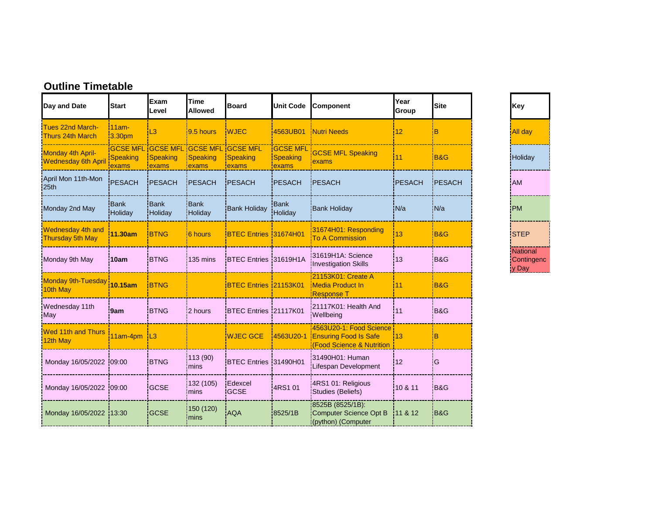| Day and Date                                        | <b>Start</b>                   | Exam<br>Level            | <b>Time</b><br><b>Allowed</b>                                          | <b>Board</b>           | <b>Unit Code</b>                     | Component                                                                            | Year<br>Group | Site   | <b>Key</b>                              |  |
|-----------------------------------------------------|--------------------------------|--------------------------|------------------------------------------------------------------------|------------------------|--------------------------------------|--------------------------------------------------------------------------------------|---------------|--------|-----------------------------------------|--|
| <b>Tues 22nd March-</b><br>Thurs 24th March         | $11am -$<br>3.30 <sub>pm</sub> | L <sub>3</sub>           | $9.5$ hours                                                            | <b>WJEC</b>            | 4563UB01                             | <b>Nutri Needs</b>                                                                   | 12            | B      | <b>All day</b>                          |  |
| Monday 4th April-<br><b>Wednesday 6th April</b>     | <b>Speaking</b><br>exams       | <b>Speaking</b><br>exams | <b>GCSE MFL GCSE MFL GCSE MFL GCSE MFL</b><br><b>Speaking</b><br>exams | Speaking<br>exams      | <b>GCSE MFL</b><br>Speaking<br>exams | <b>GCSE MFL Speaking</b><br>exams                                                    | 11            | B&G    | Holiday                                 |  |
| April Mon 11th-Mon<br>25th                          | <b>PESACH</b>                  | PESACH                   | <b>PESACH</b>                                                          | PESACH                 | <b>PESACH</b>                        | PESACH                                                                               | PESACH        | PESACH | <b>AM</b>                               |  |
| Monday 2nd May                                      | Bank<br>Holiday                | Bank<br>Holiday          | <b>Bank</b><br>Holiday                                                 | <b>Bank Holiday</b>    | Bank<br>Holiday                      | <b>Bank Holiday</b>                                                                  | N/a           | IN/a   | <b>IPM</b>                              |  |
| <b>Wednesday 4th and</b><br><b>Thursday 5th May</b> | 11.30am                        | <b>BTNG</b>              | 6 hours                                                                | BTEC Entries 31674H01  |                                      | 31674H01: Responding<br><b>To A Commission</b>                                       | 13            | B&G    | <b>STEP</b>                             |  |
| Monday 9th May                                      | 10am                           | <b>BTNG</b>              | 135 mins                                                               | BTEC Entries 31619H1A  |                                      | 31619H1A: Science<br><b>Investigation Skills</b>                                     | 13            | B&G    | <b>Nation</b><br>Contin<br><u>y Day</u> |  |
| <b>Monday 9th-Tuesday</b><br>10th May               | 10.15am                        | <b>BTNG</b>              |                                                                        | BTEC Entries 21153K01  |                                      | 21153K01: Create A<br>Media Product In<br>Response T                                 | 11            | B&G    |                                         |  |
| Wednesday 11th<br>May                               | '9am                           | <b>BTNG</b>              | 2 hours                                                                | BTEC Entries 121117K01 |                                      | 21117K01: Health And<br>Wellbeing                                                    | 11            | B&G    |                                         |  |
| <b>Wed 11th and Thurs</b><br>12th May               | 11am-4pm   L3                  |                          |                                                                        | <b>WJEC GCE</b>        | 4563U20-1                            | 4563U20-1: Food Science<br><b>Ensuring Food Is Safe</b><br>(Food Science & Nutrition | 13            | B      |                                         |  |
| Monday 16/05/2022 09:00                             |                                | <b>BTNG</b>              | 113 (90)<br>mins                                                       | BTEC Entries 31490H01  |                                      | 31490H01: Human<br><b>Lifespan Development</b>                                       | 12            | ΙG     |                                         |  |
| Monday 16/05/2022                                   | 09:00                          | <b>GCSE</b>              | 132 (105)<br>mins                                                      | Edexcel<br><b>GCSE</b> | 4RS1 01                              | 4RS1 01: Religious<br>Studies (Beliefs)                                              | 10 & 11       | B&G    |                                         |  |
| Monday 16/05/2022                                   | 13:30                          | <b>GCSE</b>              | 150 (120)<br>mins                                                      | <b>AQA</b>             | 8525/1B                              | 8525B (8525/1B):<br>Computer Science Opt B<br>(python) (Computer                     | 11 & 12       | iB&G   |                                         |  |

Holiday **National Contingenc** y Day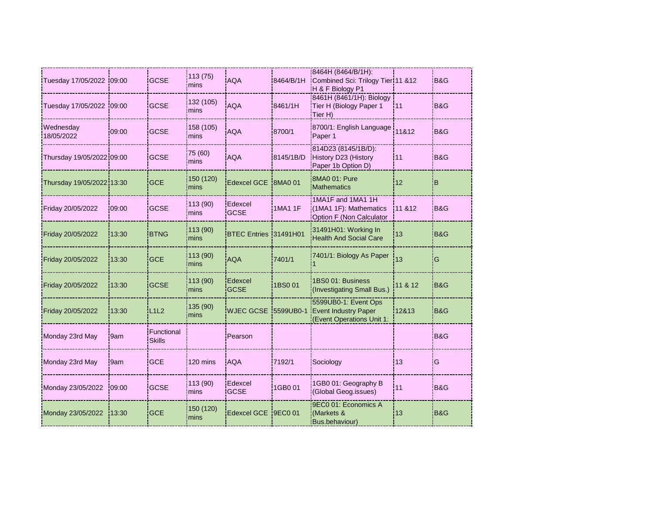| 8464H (8464/B/1H):<br>113(75)<br><b>GCSE</b><br><b>AQA</b><br>Combined Sci: Trilogy Tier 11 &12<br>Tuesday 17/05/2022 09:00<br>8464/B/1H<br>mins                                                    | IB&G                      |
|-----------------------------------------------------------------------------------------------------------------------------------------------------------------------------------------------------|---------------------------|
| H & F Biology P1                                                                                                                                                                                    |                           |
| 8461H (8461/1H): Biology<br>132 (105)<br><b>GCSE</b><br><b>AQA</b><br>8461/1H<br>Tuesday 17/05/2022<br>Tier H (Biology Paper 1<br>11<br>109:00<br>mins<br>Tier H)                                   | <b>B&amp;G</b>            |
| Wednesday<br>158 (105)<br>8700/1: English Language<br>11&12<br>09:00<br><b>GCSE</b><br>AQA<br>8700/1<br>18/05/2022<br>mins<br>Paper 1                                                               | B&G                       |
| 814D23 (8145/1B/D):<br>75 (60)<br>History D23 (History<br>Thursday 19/05/2022 09:00<br><b>GCSE</b><br><b>AQA</b><br>8145/1B/D<br>11<br>mins<br>Paper 1b Option D)                                   | B&G                       |
| 8MA0 01: Pure<br>150 (120)<br><b>BMA0 01</b><br><b>GCE</b><br>Edexcel GCE<br>12<br>Thursday 19/05/2022 13:30<br>Mathematics<br>mins                                                                 | B                         |
| 1MA1F and 1MA1 1H<br>113 (90)<br>Edexcel<br><b>GCSE</b><br><b>1MA1 1F</b><br>(1MA1 1F): Mathematics<br>Friday 20/05/2022<br>09:00<br><b>GCSE</b><br>mins<br>Option F (Non Calculator                | 11 & 12<br>B&G            |
| 113 (90)<br>31491H01: Working In<br><b>BTNG</b><br>BTEC Entries 31491H01<br>13<br>Friday 20/05/2022<br>13:30<br><b>Health And Social Care</b><br>mins                                               | B&G                       |
| 113(90)<br>7401/1: Biology As Paper<br><b>AQA</b><br>7401/1<br>13<br><b>GCE</b><br>Friday 20/05/2022<br>13:30<br>mins                                                                               | G                         |
| 1BS0 01: Business<br>113(90)<br>Edexcel<br>1BS0 01<br><b>GCSE</b><br>Friday 20/05/2022<br>13:30<br><b>GCSE</b><br>(Investigating Small Bus.)<br>mins                                                | 11 & 12<br><b>B&amp;G</b> |
| 5599UB0-1: Event Ops<br>135 (90)<br>L <sub>1</sub> L <sub>2</sub><br>WJEC GCSE 5599UB0-1<br><b>Event Industry Paper</b><br>Friday 20/05/2022<br>13:30<br>12&13<br>mins<br>(Event Operations Unit 1: | IB&G                      |
| Functional<br>Monday 23rd May<br>Pearson<br>9am<br><b>Skills</b>                                                                                                                                    | B&G                       |
| <b>GCE</b><br>120 mins<br><b>AQA</b><br>7192/1<br>13<br>Monday 23rd May<br>Sociology<br>9am                                                                                                         | G                         |
| 113 (90)<br>Edexcel<br>1GB0 01: Geography B<br><b>GCSE</b><br>1GB0 01<br>Monday 23/05/2022<br>11<br>.09:00<br><b>GCSE</b><br>(Global Geog.issues)<br>mins                                           | <b>B&amp;G</b>            |
| 9EC0 01: Economics A<br>150 (120)<br>Edexcel GCE<br>9EC0 01<br><b>GCE</b><br>(Markets &<br>Monday 23/05/2022<br>13:30<br>13<br>mins<br><b>Bus.behaviour)</b>                                        | B&G                       |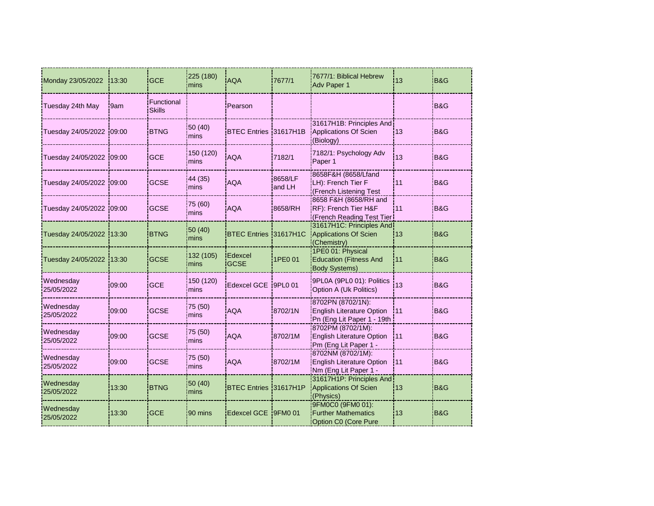| Monday 23/05/2022         | 13:30 | <b>GCE</b>                  | 225 (180)<br>mins | <b>AQA</b>             | 7677/1            | 7677/1: Biblical Hebrew<br>Adv Paper 1                                              | 13   | B&G            |
|---------------------------|-------|-----------------------------|-------------------|------------------------|-------------------|-------------------------------------------------------------------------------------|------|----------------|
| Tuesday 24th May          | 9am   | Functional<br><b>Skills</b> |                   | Pearson                |                   |                                                                                     |      | B&G            |
| Tuesday 24/05/2022 09:00  |       | <b>BTNG</b>                 | 50 (40)<br>mins   | BTEC Entries 31617H1B  |                   | 31617H1B: Principles And<br>Applications Of Scien<br>(Biology)                      | 13   | B&G            |
| Tuesday 24/05/2022 09:00  |       | <b>GCE</b>                  | 150 (120)<br>mins | <b>AQA</b>             | 7182/1            | 7182/1: Psychology Adv<br>Paper 1                                                   | 13   | B&G            |
| Tuesday 24/05/2022 109:00 |       | <b>GCSE</b>                 | 44 (35)<br>mins   | <b>AQA</b>             | 8658/LF<br>and LH | 8658F&H (8658/Lfand<br>LH): French Tier F<br>(French Listening Test                 | 11   | B&G            |
| Tuesday 24/05/2022 09:00  |       | <b>GCSE</b>                 | 75 (60)<br>mins   | <b>AQA</b>             | 8658/RH           | 8658 F&H (8658/RH and<br>RF): French Tier H&F<br>(French Reading Test Tier          | l 11 | B&G            |
| Tuesday 24/05/2022 13:30  |       | <b>BTNG</b>                 | 50 (40)<br>mins   | <b>BTEC Entries</b>    | 31617H1C          | 31617H1C: Principles And<br><b>Applications Of Scien</b><br>(Chemistry)             | 13   | <b>B&amp;G</b> |
| Tuesday 24/05/2022        | 13:30 | <b>GCSE</b>                 | 132 (105)<br>mins | Edexcel<br><b>GCSE</b> | 1PE0 01           | 1PE0 01: Physical<br><b>Education (Fitness And</b><br><b>Body Systems)</b>          | i11  | B&G            |
| Wednesday<br>25/05/2022   | 09:00 | <b>GCE</b>                  | 150 (120)<br>mins | Edexcel GCE 9PL0 01    |                   | 9PL0A (9PL0 01): Politics<br>Option A (Uk Politics)                                 | 13   | B&G            |
| Wednesday<br>25/05/2022   | 09:00 | <b>GCSE</b>                 | 75 (50)<br>mins   | <b>AQA</b>             | 8702/1N           | 8702PN (8702/1N):<br><b>English Literature Option</b><br>Pn (Eng Lit Paper 1 - 19th | 111  | <b>B&amp;G</b> |
| Wednesday<br>25/05/2022   | 09:00 | <b>GCSE</b>                 | 75 (50)<br>mins   | <b>AQA</b>             | 8702/1M           | 8702PM (8702/1M):<br><b>English Literature Option</b><br>Pm (Eng Lit Paper 1 -      | 111  | B&G            |
| Wednesday<br>25/05/2022   | 09:00 | <b>GCSE</b>                 | 75 (50)<br>mins   | <b>AQA</b>             | 8702/1M           | 8702NM (8702/1M):<br>English Literature Option<br>Nm (Eng Lit Paper 1 -             | 111  | <b>B&amp;G</b> |
| Wednesday<br>25/05/2022   | 13:30 | <b>BTNG</b>                 | 50 (40)<br>mins   | <b>BTEC Entries</b>    | 31617H1P          | 31617H1P: Principles And<br>Applications Of Scien<br>(Physics)                      | 13   | B&G            |
| Wednesday<br>25/05/2022   | 13:30 | <b>GCE</b>                  | 90 mins           | Edexcel GCE 19FM0 01   |                   | 9FM0C0 (9FM0 01):<br><b>Further Mathematics</b><br><b>Option C0 (Core Pure</b>      | 13   | B&G            |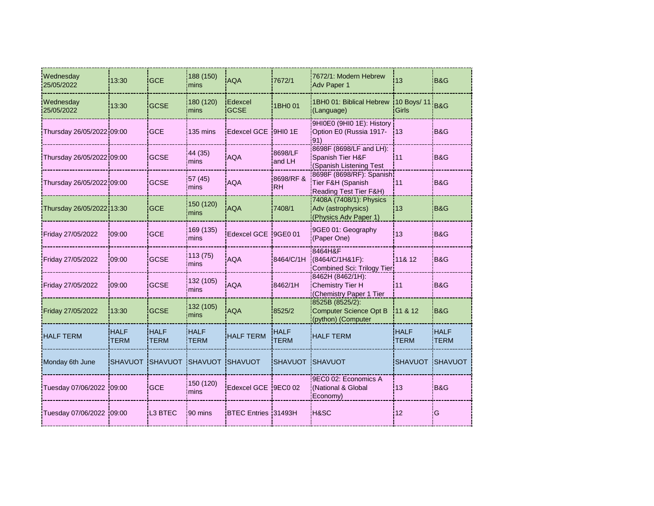| Wednesday<br>25/05/2022   | 13:30                      | <b>GCE</b>                 | 188 (150)<br>mins   | <b>AQA</b>                 | 7672/1                     | 7672/1: Modern Hebrew<br>Adv Paper 1                                    | 13                          | B&G                        |
|---------------------------|----------------------------|----------------------------|---------------------|----------------------------|----------------------------|-------------------------------------------------------------------------|-----------------------------|----------------------------|
| Wednesday<br>25/05/2022   | 13:30                      | <b>GCSE</b>                | 180 (120)<br>mins   | Edexcel<br><b>GCSE</b>     | 1BH0 01                    | 1BH0 01: Biblical Hebrew<br>(Language)                                  | 10 Boys/ 11<br><b>Girls</b> | B&G                        |
| Thursday 26/05/2022 09:00 |                            | <b>GCE</b>                 | 135 mins            | Edexcel GCE 9HI0 1E        |                            | 9HI0E0 (9HI0 1E): History<br>Option E0 (Russia 1917-<br>91)             | 13                          | <b>B&amp;G</b>             |
| Thursday 26/05/2022 09:00 |                            | <b>GCSE</b>                | 44 (35)<br>mins     | <b>AQA</b>                 | 8698/LF<br>and LH          | 8698F (8698/LF and LH):<br>Spanish Tier H&F<br>(Spanish Listening Test  | 11                          | <b>B&amp;G</b>             |
| Thursday 26/05/2022 09:00 |                            | <b>GCSE</b>                | 57 (45)<br>mins     | <b>AQA</b>                 | 8698/RF &<br><b>RH</b>     | 8698F (8698/RF): Spanish<br>Tier F&H (Spanish<br>Reading Test Tier F&H) | 11                          | <b>B&amp;G</b>             |
| Thursday 26/05/2022 13:30 |                            | <b>GCE</b>                 | 150 (120)<br>mins   | <b>AQA</b>                 | 7408/1                     | 7408A (7408/1): Physics<br>Adv (astrophysics)<br>(Physics Adv Paper 1)  | 13                          | <b>B&amp;G</b>             |
| Friday 27/05/2022         | 09:00                      | <b>GCE</b>                 | 169 (135)<br>mins   | Edexcel GCE 9GE0 01        |                            | 9GE0 01: Geography<br>(Paper One)                                       | 13                          | <b>B&amp;G</b>             |
| Friday 27/05/2022         | 09:00                      | <b>GCSE</b>                | 113 (75)<br>mins    | <b>AQA</b>                 | 8464/C/1H                  | 8464H&F<br>(8464/C/1H&1F):<br>Combined Sci: Trilogy Tier                | 11& 12                      | B&G                        |
| Friday 27/05/2022         | 09:00                      | <b>GCSE</b>                | 132 (105)<br>mins   | <b>AQA</b>                 | 8462/1H                    | 8462H (8462/1H):<br>Chemistry Tier H<br>(Chemistry Paper 1 Tier         | 11                          | <b>B&amp;G</b>             |
| Friday 27/05/2022         | 13:30                      | GCSE                       | 132 (105)<br>mins   | <b>AQA</b>                 | 8525/2                     | 8525B (8525/2):<br>Computer Science Opt B<br>(python) (Computer         | 11 & 12                     | B&G                        |
| <b>HALF TERM</b>          | <b>HALF</b><br><b>TERM</b> | <b>HALF</b><br><b>TERM</b> | HALF<br><b>TERM</b> | <b>HALF TERM</b>           | <b>HALF</b><br><b>TERM</b> | <b>HALF TERM</b>                                                        | <b>HALF</b><br><b>TERM</b>  | <b>HALF</b><br><b>TERM</b> |
| Monday 6th June           | <b>SHAVUOT</b>             | SHAVUOT SHAVUOT SHAVUOT    |                     |                            | SHAVUOT SHAVUOT            |                                                                         | <b>SHAVUOT</b>              | SHAVUOT                    |
| Tuesday 07/06/2022 09:00  |                            | <b>GCE</b>                 | 150 (120)<br>mins   | Edexcel GCE 9EC0 02        |                            | 9EC0 02: Economics A<br>(National & Global<br>Economy)                  | 13                          | B&G                        |
| Tuesday 07/06/2022 09:00  |                            | L <sub>3</sub> BTEC        | 90 mins             | <b>BTEC Entries 31493H</b> |                            | <b>H&amp;SC</b>                                                         | 12                          | G                          |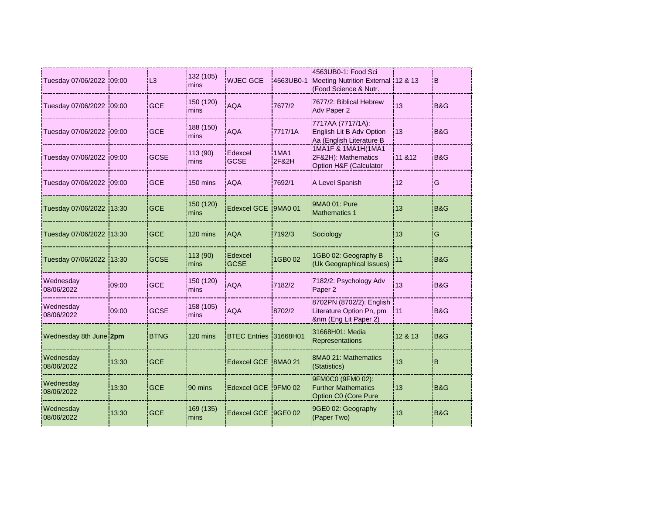| Tuesday 07/06/2022 09:00 |        | L <sub>3</sub> | 132 (105)<br>mins | <b>WJEC GCE</b>        |               | 4563UB0-1: Food Sci<br>4563UB0-1 Meeting Nutrition External 12 & 13<br>(Food Science & Nutr. |         | IB.            |
|--------------------------|--------|----------------|-------------------|------------------------|---------------|----------------------------------------------------------------------------------------------|---------|----------------|
| Tuesday 07/06/2022       | 109:00 | <b>GCE</b>     | 150 (120)<br>mins | <b>AQA</b>             | 7677/2        | 7677/2: Biblical Hebrew<br>Adv Paper 2                                                       | 13      | <b>B&amp;G</b> |
| Tuesday 07/06/2022 09:00 |        | <b>GCE</b>     | 188 (150)<br>mins | <b>AQA</b>             | 7717/1A       | 7717AA (7717/1A):<br>English Lit B Adv Option<br>Aa (English Literature B                    | 13      | <b>B&amp;G</b> |
| Tuesday 07/06/2022 09:00 |        | <b>GCSE</b>    | 113 (90)<br>mins  | Edexcel<br><b>GCSE</b> | 1MA1<br>2F&2H | 1MA1F & 1MA1H(1MA1<br>2F&2H): Mathematics<br>Option H&F (Calculator                          | 11 & 12 | iB&G           |
| Tuesday 07/06/2022       | 109:00 | <b>GCE</b>     | 150 mins          | <b>AQA</b>             | 7692/1        | A Level Spanish                                                                              | 12      | G              |
| Tuesday 07/06/2022       | 13:30  | <b>GCE</b>     | 150 (120)<br>mins | Edexcel GCE 9MA0 01    |               | 9MA0 01: Pure<br>Mathematics 1                                                               | 13      | <b>B&amp;G</b> |
| Tuesday 07/06/2022       | 13:30  | <b>GCE</b>     | 120 mins          | <b>AQA</b>             | 7192/3        | Sociology                                                                                    | 13      | G              |
| Tuesday 07/06/2022       | 13:30  | <b>GCSE</b>    | 113(90)<br>mins   | Edexcel<br><b>GCSE</b> | 1GB0 02       | 1GB0 02: Geography B<br>(Uk Geographical Issues)                                             | 11      | B&G            |
| Wednesday<br>08/06/2022  | 09:00  | <b>GCE</b>     | 150 (120)<br>mins | <b>AQA</b>             | 7182/2        | 7182/2: Psychology Adv<br>Paper 2                                                            | 13      | <b>B&amp;G</b> |
| Wednesday<br>08/06/2022  | 09:00  | <b>GCSE</b>    | 158 (105)<br>mins | <b>AQA</b>             | 8702/2        | 8702PN (8702/2): English<br>Literature Option Pn, pm<br>8nm (Eng Lit Paper 2)                | 111     | B&G            |
| Wednesday 8th June 2pm   |        | <b>BTNG</b>    | 120 mins          | BTEC Entries 31668H01  |               | 31668H01: Media<br>Representations                                                           | 12 & 13 | B&G            |
| Wednesday<br>08/06/2022  | 13:30  | <b>GCE</b>     |                   | Edexcel GCE 8MA0 21    |               | 8MA0 21: Mathematics<br>(Statistics)                                                         | 13      | B              |
| Wednesday<br>08/06/2022  | 13:30  | <b>GCE</b>     | 90 mins           | Edexcel GCE 9FM0 02    |               | 9FM0C0 (9FM0 02):<br><b>Further Mathematics</b><br>Option C0 (Core Pure                      | 13      | <b>B&amp;G</b> |
| Wednesday<br>08/06/2022  | 13:30  | <b>GCE</b>     | 169 (135)<br>mins | Edexcel GCE 9GE0 02    |               | 9GE0 02: Geography<br>(Paper Two)                                                            | 13      | B&G            |
|                          |        |                |                   |                        |               |                                                                                              |         |                |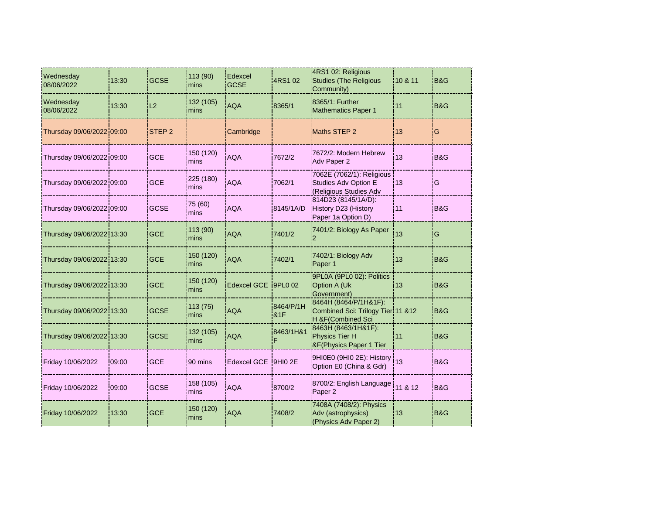| Wednesday<br>08/06/2022   | 13:30  | <b>GCSE</b>       | 113 (90)<br>mins  | Edexcel<br><b>GCSE</b> | 4RS1 02                     | 4RS1 02: Religious<br><b>Studies (The Religious</b><br>Community)               | 10 & 11 | <b>B&amp;G</b> |
|---------------------------|--------|-------------------|-------------------|------------------------|-----------------------------|---------------------------------------------------------------------------------|---------|----------------|
| Wednesday<br>08/06/2022   | 13:30  | L2                | 132 (105)<br>mins | <b>AQA</b>             | 8365/1                      | 8365/1: Further<br><b>Mathematics Paper 1</b>                                   | 11      | <b>B&amp;G</b> |
| Thursday 09/06/2022 09:00 |        | STEP <sub>2</sub> |                   | Cambridge              |                             | Maths STEP 2                                                                    | 13      | ΙG             |
| Thursday 09/06/2022 09:00 |        | <b>GCE</b>        | 150 (120)<br>mins | <b>AQA</b>             | 7672/2                      | 7672/2: Modern Hebrew<br>Adv Paper 2                                            | 13      | B&G            |
| Thursday 09/06/2022 09:00 |        | <b>GCE</b>        | 225 (180)<br>mins | <b>AQA</b>             | 7062/1                      | 7062E (7062/1): Religious<br>Studies Adv Option E<br>(Religious Studies Adv     | 13      | G              |
| Thursday 09/06/2022 09:00 |        | <b>GCSE</b>       | 75 (60)<br>mins   | <b>AQA</b>             | 8145/1A/D                   | 814D23 (8145/1A/D):<br>History D23 (History<br>Paper 1a Option D)               | 111     | B&G            |
| Thursday 09/06/2022 13:30 |        | <b>GCE</b>        | 113 (90)<br>mins  | <b>AQA</b>             | 7401/2                      | 7401/2: Biology As Paper                                                        | 13      | G              |
| Thursday 09/06/2022 13:30 |        | <b>GCE</b>        | 150 (120)<br>mins | <b>AQA</b>             | 7402/1                      | 7402/1: Biology Adv<br>Paper 1                                                  | 13      | B&G            |
| Thursday 09/06/2022 13:30 |        | <b>GCE</b>        | 150 (120)<br>mins | Edexcel GCE 9PL0 02    |                             | 9PL0A (9PL0 02): Politics<br>Option A (Uk<br>Government)                        | 13      | B&G            |
| Thursday 09/06/2022113:30 |        | <b>GCSE</b>       | 113 (75)<br>mins  | <b>AQA</b>             | 8464/P/1H<br><b>&amp;1F</b> | 8464H (8464/P/1H&1F):<br>Combined Sci: Trilogy Tier 11 &12<br>H &F(Combined Sci |         | IB&G           |
| Thursday 09/06/2022 13:30 |        | <b>GCSE</b>       | 132 (105)<br>mins | <b>AQA</b>             | 8463/1H&1                   | 8463H (8463/1H&1F):<br>Physics Tier H<br>&F(Physics Paper 1 Tier                | l 11    | B&G            |
| Friday 10/06/2022         | 109:00 | <b>GCE</b>        | 90 mins           | Edexcel GCE 9HI0 2E    |                             | 9HI0E0 (9HI0 2E): History<br>Option E0 (China & Gdr)                            | 13      | B&G            |
| Friday 10/06/2022         | 09:00  | <b>GCSE</b>       | 158 (105)<br>mins | <b>AQA</b>             | 8700/2                      | 8700/2: English Language<br>Paper 2                                             | 11 & 12 | <b>B&amp;G</b> |
| Friday 10/06/2022         | 13:30  | <b>GCE</b>        | 150 (120)<br>mins | <b>AQA</b>             | 7408/2                      | 7408A (7408/2): Physics<br>Adv (astrophysics)<br>(Physics Adv Paper 2)          | 13      | B&G            |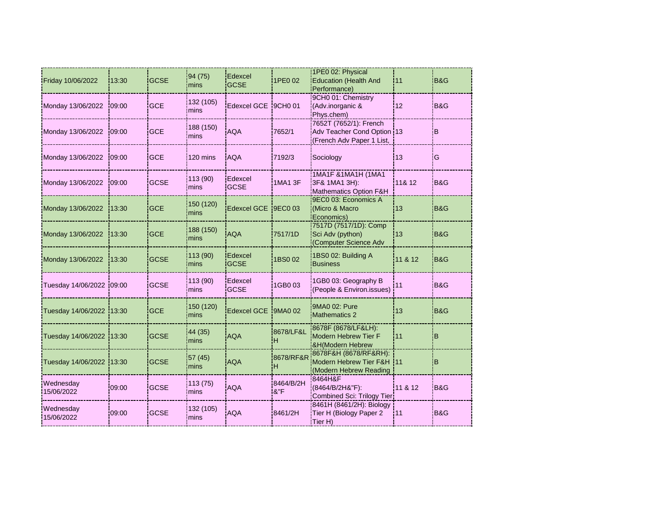| Friday 10/06/2022         | 13:30  | <b>GCSE</b> | 94 (75)<br>mins   | Edexcel<br><b>GCSE</b>        | 1PE0 02          | 1PE0 02: Physical<br><b>Education (Health And</b><br>Performance)                 | 111     | B&G            |
|---------------------------|--------|-------------|-------------------|-------------------------------|------------------|-----------------------------------------------------------------------------------|---------|----------------|
| Monday 13/06/2022         | 09:00  | <b>GCE</b>  | 132 (105)<br>mins | Edexcel GCE 9CH0 01           |                  | 9CH0 01: Chemistry<br>(Adv.inorganic &<br>Phys.chem)                              | 12      | B&G            |
| Monday 13/06/2022         | 109:00 | <b>GCE</b>  | 188 (150)<br>mins | <b>AQA</b>                    | 7652/1           | 7652T (7652/1): French<br>Adv Teacher Cond Option 13<br>(French Adv Paper 1 List, |         | iΒ             |
| Monday 13/06/2022         | 109:00 | <b>GCE</b>  | 120 mins          | <b>AQA</b>                    | 7192/3           | Sociology                                                                         | 13      | lG             |
| Monday 13/06/2022         | 109:00 | <b>GCSE</b> | 113 (90)<br>mins  | Edexcel<br><b>GCSE</b>        | <b>1MA1 3F</b>   | 1MA1F & 1MA1H (1MA1<br>3F& 1MA1 3H):<br>Mathematics Option F&H                    | 11& 12  | <b>B&amp;G</b> |
| Monday 13/06/2022         | 13:30  | <b>GCE</b>  | 150 (120)<br>mins | Edexcel GCE 9EC0 03           |                  | 9EC0 03: Economics A<br>Micro & Macro<br>Economics)                               | l 13    | B&G            |
| Monday 13/06/2022         | 13:30  | <b>GCE</b>  | 188 (150)<br>mins | <b>AQA</b>                    | 7517/1D          | 7517D (7517/1D): Comp<br>Sci Adv (python)<br>(Computer Science Adv                | 13      | B&G            |
| Monday 13/06/2022         | 13:30  | <b>GCSE</b> | 113 (90)<br>mins  | <b>Edexcel</b><br><b>GCSE</b> | 1BS0 02          | 1BS0 02: Building A<br><b>Business</b>                                            | 11 & 12 | B&G            |
| Tuesday 14/06/2022 :09:00 |        | <b>GCSE</b> | 113 (90)<br>mins  | Edexcel<br><b>GCSE</b>        | 1GB003           | 1GB0 03: Geography B<br>(People & Environ.issues)                                 | 11      | <b>B&amp;G</b> |
| Tuesday 14/06/2022 13:30  |        | <b>GCE</b>  | 150 (120)<br>mins | Edexcel GCE 19MA0 02          |                  | 9MA0 02: Pure<br>Mathematics 2                                                    | 13      | B&G            |
| Tuesday 14/06/2022 13:30  |        | <b>GCSE</b> | 44 (35)<br>mins   | <b>AQA</b>                    | 8678/LF&L<br>Ή   | 8678F (8678/LF&LH):<br>Modern Hebrew Tier F<br>&H(Modern Hebrew                   |         | B              |
| Tuesday 14/06/2022 13:30  |        | <b>GCSE</b> | 57 (45)<br>mins   | <b>AQA</b>                    | 8678/RF&R<br>н   | 8678F&H (8678/RF&RH):<br>Modern Hebrew Tier F&H 11<br>(Modern Hebrew Reading      |         | B              |
| Wednesday<br>15/06/2022   | 09:00  | <b>GCSE</b> | 113 (75)<br>mins  | <b>AQA</b>                    | 8464/B/2H<br>8"F | 8464H&F<br>(8464/B/2H&"F):<br>Combined Sci: Trilogy Tier                          | 11 & 12 | <b>B&amp;G</b> |
| Wednesday<br>15/06/2022   | 09:00  | <b>GCSE</b> | 132 (105)<br>mins | <b>AQA</b>                    | 8461/2H          | 8461H (8461/2H): Biology<br>Tier H (Biology Paper 2<br>Tier H)                    | :11     | B&G            |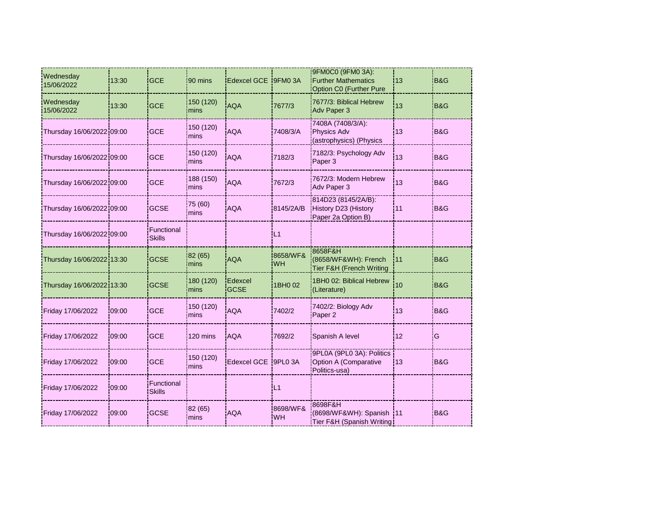| Wednesday<br>15/06/2022   | 13:30  | <b>GCE</b>                  | 90 mins           | Edexcel GCE 19FM0 3A   |                       | 9FM0C0 (9FM0 3A):<br><b>Further Mathematics</b><br>Option C0 (Further Pure | :13 | B&G            |
|---------------------------|--------|-----------------------------|-------------------|------------------------|-----------------------|----------------------------------------------------------------------------|-----|----------------|
| Wednesday<br>15/06/2022   | 13:30  | <b>GCE</b>                  | 150 (120)<br>mins | <b>AQA</b>             | 7677/3                | 7677/3: Biblical Hebrew<br>Adv Paper 3                                     | 13  | <b>B&amp;G</b> |
| Thursday 16/06/2022 09:00 |        | <b>GCE</b>                  | 150 (120)<br>mins | <b>AQA</b>             | 7408/3/A              | 7408A (7408/3/A):<br>Physics Adv<br>(astrophysics) (Physics                | 13  | <b>B&amp;G</b> |
| Thursday 16/06/2022 09:00 |        | <b>GCE</b>                  | 150 (120)<br>mins | <b>AQA</b>             | 7182/3                | 7182/3: Psychology Adv<br>Paper 3                                          | 13  | <b>B&amp;G</b> |
| Thursday 16/06/2022 09:00 |        | <b>GCE</b>                  | 188 (150)<br>mins | <b>AQA</b>             | 7672/3                | 7672/3: Modern Hebrew<br>Adv Paper 3                                       | 13  | <b>B&amp;G</b> |
| Thursday 16/06/2022 09:00 |        | <b>GCSE</b>                 | 75 (60)<br>mins   | <b>AQA</b>             | 8145/2A/B             | 814D23 (8145/2A/B):<br>History D23 (History<br>Paper 2a Option B)          | 11  | B&G            |
| Thursday 16/06/2022 09:00 |        | Functional<br><b>Skills</b> |                   |                        | L1                    |                                                                            |     |                |
| Thursday 16/06/2022 13:30 |        | <b>GCSE</b>                 | 82 (65)<br>mins   | <b>AQA</b>             | 8658/WF&<br><b>WH</b> | 8658F&H<br>(8658/WF&WH): French<br>Tier F&H (French Writing                | 111 | B&G            |
| Thursday 16/06/2022 13:30 |        | <b>GCSE</b>                 | 180 (120)<br>mins | Edexcel<br><b>GCSE</b> | 1BH0 02               | 1BH0 02: Biblical Hebrew<br>(Literature)                                   | 10  | <b>B&amp;G</b> |
| Friday 17/06/2022         | 109:00 | <b>GCE</b>                  | 150 (120)<br>mins | <b>AQA</b>             | 7402/2                | 7402/2: Biology Adv<br>Paper 2                                             | 13  | <b>B&amp;G</b> |
| Friday 17/06/2022         | 09:00  | <b>GCE</b>                  | 120 mins          | <b>AQA</b>             | 7692/2                | Spanish A level                                                            | 12  | G              |
| Friday 17/06/2022         | 09:00  | <b>GCE</b>                  | 150 (120)<br>mins | Edexcel GCE 9PL0 3A    |                       | 9PL0A (9PL0 3A): Politics<br>Option A (Comparative<br>Politics-usa)        | 13  | <b>B&amp;G</b> |
| Friday 17/06/2022         | 09:00  | Functional<br><b>Skills</b> |                   |                        | L1                    |                                                                            |     |                |
| Friday 17/06/2022         | 09:00  | <b>GCSE</b>                 | 82 (65)<br>mins   | <b>AQA</b>             | 8698/WF&<br>WH        | 8698F&H<br>(8698/WF&WH): Spanish 11<br>Tier F&H (Spanish Writing!          |     | <b>B&amp;G</b> |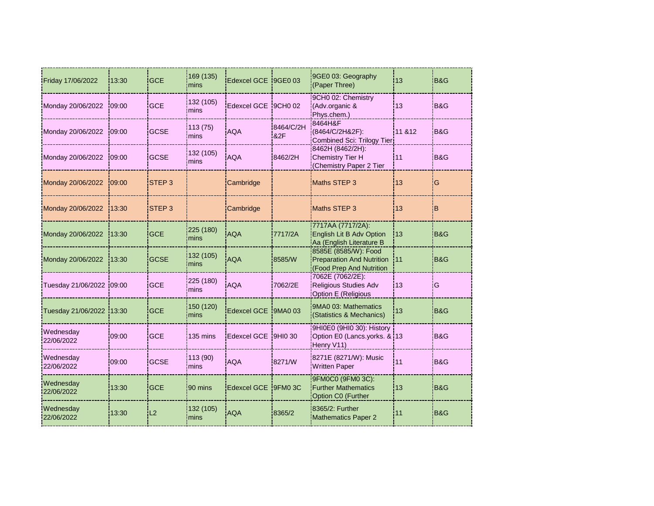| Friday 17/06/2022        | 13:30    | <b>GCE</b>        | 169 (135)<br>mins | Edexcel GCE 9GE0 03  |                             | 9GE0 03: Geography<br>(Paper Three)                                                  | 13        | B&G            |
|--------------------------|----------|-------------------|-------------------|----------------------|-----------------------------|--------------------------------------------------------------------------------------|-----------|----------------|
| Monday 20/06/2022        | 109:00   | <b>GCE</b>        | 132 (105)<br>mins | Edexcel GCE 9CH0 02  |                             | 9CH0 02: Chemistry<br>(Adv.organic &<br>Phys.chem.)                                  | 13        | <b>B&amp;G</b> |
| Monday 20/06/2022        | 09:00    | <b>GCSE</b>       | 113 (75)<br>mins  | <b>AQA</b>           | 8464/C/2H<br><b>&amp;2F</b> | 8464H&F<br>(8464/C/2H&2F):<br>Combined Sci: Trilogy Tier                             | 11 & 12   | <b>B&amp;G</b> |
| Monday 20/06/2022        | $-09:00$ | <b>GCSE</b>       | 132 (105)<br>mins | <b>AQA</b>           | 8462/2H                     | 8462H (8462/2H):<br><b>Chemistry Tier H</b><br>(Chemistry Paper 2 Tier               | 11        | B&G            |
| Monday 20/06/2022        | 109:00   | STEP <sub>3</sub> |                   | Cambridge            |                             | Maths STEP 3                                                                         | 13        | iG             |
| Monday 20/06/2022        | 13:30    | <b>STEP3</b>      |                   | Cambridge            |                             | Maths STEP 3                                                                         | <b>13</b> | ΙB             |
| Monday 20/06/2022        | 13:30    | <b>GCE</b>        | 225 (180)<br>mins | <b>AQA</b>           | 7717/2A                     | 7717AA (7717/2A):<br><b>English Lit B Adv Option</b><br>Aa (English Literature B     | 13        | B&G            |
| Monday 20/06/2022        | 13:30    | <b>GCSE</b>       | 132 (105)<br>mins | AQA                  | 8585/W                      | 8585E (8585/W): Food<br><b>Preparation And Nutrition</b><br>(Food Prep And Nutrition | i11       | B&G            |
| Tuesday 21/06/2022 09:00 |          | <b>GCE</b>        | 225 (180)<br>mins | <b>AQA</b>           | 7062/2E                     | 7062E (7062/2E):<br>Religious Studies Adv<br>Option E (Religious                     | 13        | G              |
| Tuesday 21/06/2022 13:30 |          | <b>GCE</b>        | 150 (120)<br>mins | Edexcel GCE 19MA0 03 |                             | 9MA0 03: Mathematics<br>(Statistics & Mechanics)                                     | 13        | B&G!           |
| Wednesday<br>22/06/2022  | 09:00    | <b>GCE</b>        | 135 mins          | Edexcel GCE 9HI0 30  |                             | 9HI0E0 (9HI0 30): History<br>Option E0 (Lancs.yorks. & 13<br>Henry V11)              |           | <b>B&amp;G</b> |
| Wednesday<br>22/06/2022  | 09:00    | <b>GCSE</b>       | 113 (90)<br>mins  | <b>AQA</b>           | 8271/W                      | 8271E (8271/W): Music<br><b>Written Paper</b>                                        | 11        | <b>B&amp;G</b> |
| Wednesday<br>22/06/2022  | 13:30    | <b>GCE</b>        | 90 mins           | Edexcel GCE 9FM0 3C  |                             | 9FM0C0 (9FM0 3C):<br><b>Further Mathematics</b><br>Option C0 (Further                | 13        | <b>B&amp;G</b> |
| Wednesday<br>22/06/2022  | 13:30    | L2                | 132 (105)<br>mins | <b>AQA</b>           | 8365/2                      | 8365/2: Further<br><b>Mathematics Paper 2</b>                                        | 11        | B&G            |